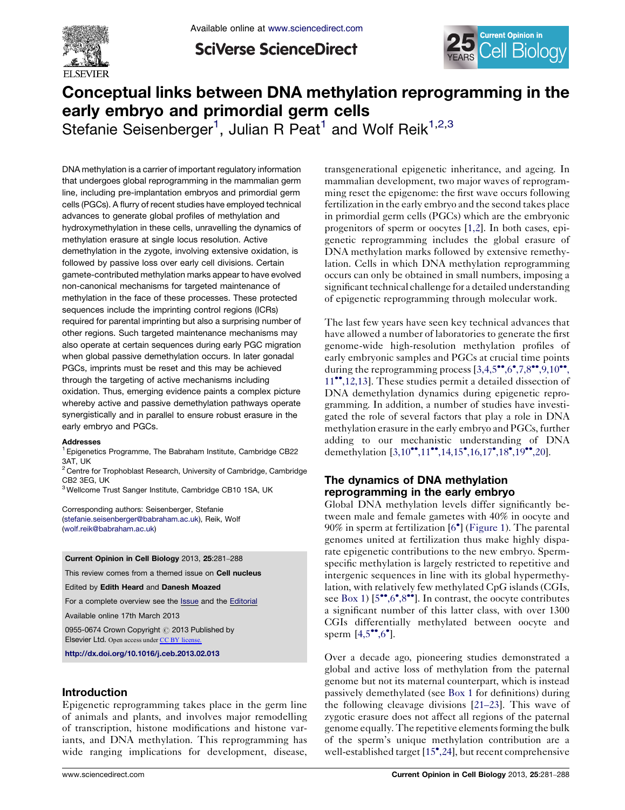

**SciVerse ScienceDirect** 



# Conceptual links between DNA methylation reprogramming in the early embryo and primordial germ cells

Stefanie Seisenberger<sup>1</sup>, Julian R Peat<sup>1</sup> and Wolf Reik<sup>1,2,3</sup>

DNA methylation is a carrier of important regulatory information that undergoes global reprogramming in the mammalian germ line, including pre-implantation embryos and primordial germ cells (PGCs). A flurry of recent studies have employed technical advances to generate global profiles of methylation and hydroxymethylation in these cells, unravelling the dynamics of methylation erasure at single locus resolution. Active demethylation in the zygote, involving extensive oxidation, is followed by passive loss over early cell divisions. Certain gamete-contributed methylation marks appear to have evolved non-canonical mechanisms for targeted maintenance of methylation in the face of these processes. These protected sequences include the imprinting control regions (ICRs) required for parental imprinting but also a surprising number of other regions. Such targeted maintenance mechanisms may also operate at certain sequences during early PGC migration when global passive demethylation occurs. In later gonadal PGCs, imprints must be reset and this may be achieved through the targeting of active mechanisms including oxidation. Thus, emerging evidence paints a complex picture whereby active and passive demethylation pathways operate synergistically and in parallel to ensure robust erasure in the early embryo and PGCs.

#### Addresses

<sup>1</sup> Epigenetics Programme, The Babraham Institute, Cambridge CB22 3AT, UK

<sup>2</sup> Centre for Trophoblast Research, University of Cambridge, Cambridge CB2 3EG, UK

3Wellcome Trust Sanger Institute, Cambridge CB10 1SA, UK

Corresponding authors: Seisenberger, Stefanie ([stefanie.seisenberger@babraham.ac.uk\)](mailto:stefanie.seisenberger@babraham.ac.uk), Reik, Wolf ([wolf.reik@babraham.ac.uk](mailto:wolf.reik@babraham.ac.uk))

Current Opinion in Cell Biology 2013, 25:281–288

This review comes from a themed issue on Cell nucleus

Edited by Edith Heard and Danesh Moazed

For a complete overview see the **[Issue](http://www.sciencedirect.com/science/journal/09550674/25/3)** and the [Editorial](http://dx.doi.org/10.1016/j.ceb.2013.05.002)

Available online 17th March 2013

0955-0674 Crown Copyright @ 2013 Published by Elsevier Ltd. Open access under [CC BY license.](http://creativecommons.org/licenses/by/4.0/)

<http://dx.doi.org/10.1016/j.ceb.2013.02.013>

## Introduction

Epigenetic reprogramming takes place in the germ line of animals and plants, and involves major remodelling of transcription, histone modifications and histone variants, and DNA methylation. This reprogramming has wide ranging implications for development, disease, transgenerational epigenetic inheritance, and ageing. In mammalian development, two major waves of reprogramming reset the epigenome: the first wave occurs following fertilization in the early embryo and the second takes place in primordial germ cells (PGCs) which are the embryonic progenitors of sperm or oocytes [\[1,2\]](#page-5-0). In both cases, epigenetic reprogramming includes the global erasure of DNA methylation marks followed by extensive remethylation. Cells in which DNA methylation reprogramming occurs can only be obtained in small numbers, imposing a significant technical challenge for a detailed understanding of epigenetic reprogramming through molecular work.

The last few years have seen key technical advances that have allowed a number of laboratories to generate the first genome-wide high-resolution methylation profiles of early embryonic samples and PGCs at crucial time points during the reprogramming process  $[3,4,5^{\bullet\bullet},6^{\bullet},7,8^{\bullet\bullet},9,10^{\bullet\bullet},$  $[3,4,5^{\bullet\bullet},6^{\bullet},7,8^{\bullet\bullet},9,10^{\bullet\bullet},$  $[3,4,5^{\bullet\bullet},6^{\bullet},7,8^{\bullet\bullet},9,10^{\bullet\bullet},$  $[3,4,5^{\bullet\bullet},6^{\bullet},7,8^{\bullet\bullet},9,10^{\bullet\bullet},$  $[3,4,5^{\bullet\bullet},6^{\bullet},7,8^{\bullet\bullet},9,10^{\bullet\bullet},$  $[3,4,5^{\bullet\bullet},6^{\bullet},7,8^{\bullet\bullet},9,10^{\bullet\bullet},$  $[3,4,5^{\bullet\bullet},6^{\bullet},7,8^{\bullet\bullet},9,10^{\bullet\bullet},$  $[3,4,5^{\bullet\bullet},6^{\bullet},7,8^{\bullet\bullet},9,10^{\bullet\bullet},$  $[3,4,5^{\bullet\bullet},6^{\bullet},7,8^{\bullet\bullet},9,10^{\bullet\bullet},$ [11](#page-5-0)<sup>\*\*</sup>[,12,13\]](#page-5-0). These studies permit a detailed dissection of DNA demethylation dynamics during epigenetic reprogramming. In addition, a number of studies have investigated the role of several factors that play a role in DNA methylation erasure in the early embryo and PGCs, further adding to our mechanistic understanding of DNA demethylation [\[3,10](#page-5-0)<sup>\*</sup>[,11](#page-5-0)<sup>\*</sup>[,14,15](#page-5-0)<sup>\*</sup>[,16,17](#page-5-0)<sup>\*</sup>[,18](#page-5-0)<sup>\*</sup>[,19](#page-5-0)<sup>\*\*</sup>[,20\]](#page-5-0).

# The dynamics of DNA methylation reprogramming in the early embryo

Global DNA methylation levels differ significantly between male and female gametes with 40% in oocyte and 90% in sperm at fertilization [\[6](#page-5-0)<sup>°</sup>] ([Figure](#page-1-0) 1). The parental genomes united at fertilization thus make highly disparate epigenetic contributions to the new embryo. Spermspecific methylation is largely restricted to repetitive and intergenic sequences in line with its global hypermethylation, with relatively few methylated CpG islands (CGIs, see [Box](#page-2-0) 1) [[5](#page-5-0)\*\*[,6](#page-5-0)\*[,8](#page-5-0)\*\*]. In contrast, the oocyte contributes a significant number of this latter class, with over 1300 CGIs differentially methylated between oocyte and sperm  $[4,5^{\bullet\bullet},6^{\bullet}].$  $[4,5^{\bullet\bullet},6^{\bullet}].$  $[4,5^{\bullet\bullet},6^{\bullet}].$  $[4,5^{\bullet\bullet},6^{\bullet}].$  $[4,5^{\bullet\bullet},6^{\bullet}].$ 

Over a decade ago, pioneering studies demonstrated a global and active loss of methylation from the paternal genome but not its maternal counterpart, which is instead passively demethylated (see [Box](#page-2-0) 1 for definitions) during the following cleavage divisions [[21](#page-6-0)–23]. This wave of zygotic erasure does not affect all regions of the paternal genome equally.The repetitive elementsforming the bulk of the sperm's unique methylation contribution are a well-established target [\[15](#page-6-0)<sup>°</sup>[,24\]](#page-6-0), but recent comprehensive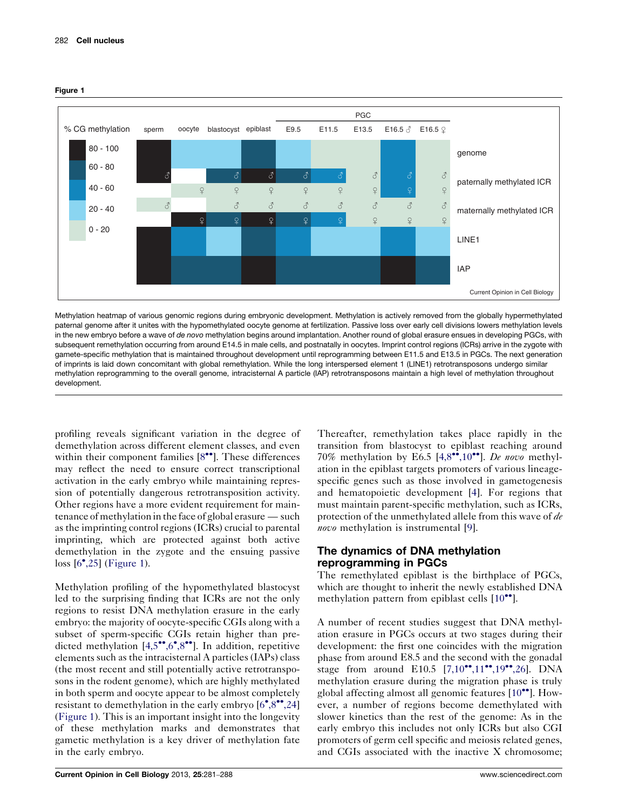

<span id="page-1-0"></span>Figure 1

Methylation heatmap of various genomic regions during embryonic development. Methylation is actively removed from the globally hypermethylated paternal genome after it unites with the hypomethylated oocyte genome at fertilization. Passive loss over early cell divisions lowers methylation levels in the new embryo before a wave of de novo methylation begins around implantation. Another round of global erasure ensues in developing PGCs, with subsequent remethylation occurring from around E14.5 in male cells, and postnatally in oocytes. Imprint control regions (ICRs) arrive in the zygote with gamete-specific methylation that is maintained throughout development until reprogramming between E11.5 and E13.5 in PGCs. The next generation of imprints is laid down concomitant with global remethylation. While the long interspersed element 1 (LINE1) retrotransposons undergo similar methylation reprogramming to the overall genome, intracisternal A particle (IAP) retrotransposons maintain a high level of methylation throughout development.

profiling reveals significant variation in the degree of demethylation across different element classes, and even within their component families [\[8](#page-6-0)\*\*]. These differences may reflect the need to ensure correct transcriptional activation in the early embryo while maintaining repression of potentially dangerous retrotransposition activity. Other regions have a more evident requirement for maintenance of methylation in the face of global erasure — such as the imprinting control regions (ICRs) crucial to parental imprinting, which are protected against both active demethylation in the zygote and the ensuing passive loss [\[6](#page-5-0)<sup>•</sup>[,25](#page-5-0)] (Figure 1).

Methylation profiling of the hypomethylated blastocyst led to the surprising finding that ICRs are not the only regions to resist DNA methylation erasure in the early embryo: the majority of oocyte-specific CGIs along with a subset of sperm-specific CGIs retain higher than pre-dicted methylation [[4,5](#page-5-0)\*°[,6](#page-5-0)<sup>\*</sup>[,8](#page-5-0)<sup>\*</sup>°]. In addition, repetitive elements such as the intracisternal A particles (IAPs) class (the most recent and still potentially active retrotransposons in the rodent genome), which are highly methylated in both sperm and oocyte appear to be almost completely resistant to demethylation in the early embryo  $[6^{\bullet}, 8^{\bullet\bullet}, 24]$  $[6^{\bullet}, 8^{\bullet\bullet}, 24]$  $[6^{\bullet}, 8^{\bullet\bullet}, 24]$ (Figure 1). This is an important insight into the longevity of these methylation marks and demonstrates that gametic methylation is a key driver of methylation fate in the early embryo.

Thereafter, remethylation takes place rapidly in the transition from blastocyst to epiblast reaching around 70% methylation by E6.5 [\[4,8](#page-5-0)<sup>\*\*</sup>[,10](#page-5-0)<sup>\*\*</sup>]. De novo methylation in the epiblast targets promoters of various lineagespecific genes such as those involved in gametogenesis and hematopoietic development [\[4](#page-5-0)]. For regions that must maintain parent-specific methylation, such as ICRs, protection of the unmethylated allele from this wave of de novo methylation is instrumental [\[9](#page-6-0)].

# The dynamics of DNA methylation reprogramming in PGCs

The remethylated epiblast is the birthplace of PGCs, which are thought to inherit the newly established DNA methylation pattern from epiblast cells [[10](#page-6-0)<sup>\*</sup>].

A number of recent studies suggest that DNA methylation erasure in PGCs occurs at two stages during their development: the first one coincides with the migration phase from around E8.5 and the second with the gonadal stage from around E10.5  $[7,10^{\bullet\bullet}, 11^{\bullet\bullet}, 19^{\bullet\bullet}, 26]$  $[7,10^{\bullet\bullet}, 11^{\bullet\bullet}, 19^{\bullet\bullet}, 26]$  $[7,10^{\bullet\bullet}, 11^{\bullet\bullet}, 19^{\bullet\bullet}, 26]$ . DNA methylation erasure during the migration phase is truly global affecting almost all genomic features [[10](#page-6-0)<sup>\*</sup>]. However, a number of regions become demethylated with slower kinetics than the rest of the genome: As in the early embryo this includes not only ICRs but also CGI promoters of germ cell specific and meiosis related genes, and CGIs associated with the inactive X chromosome;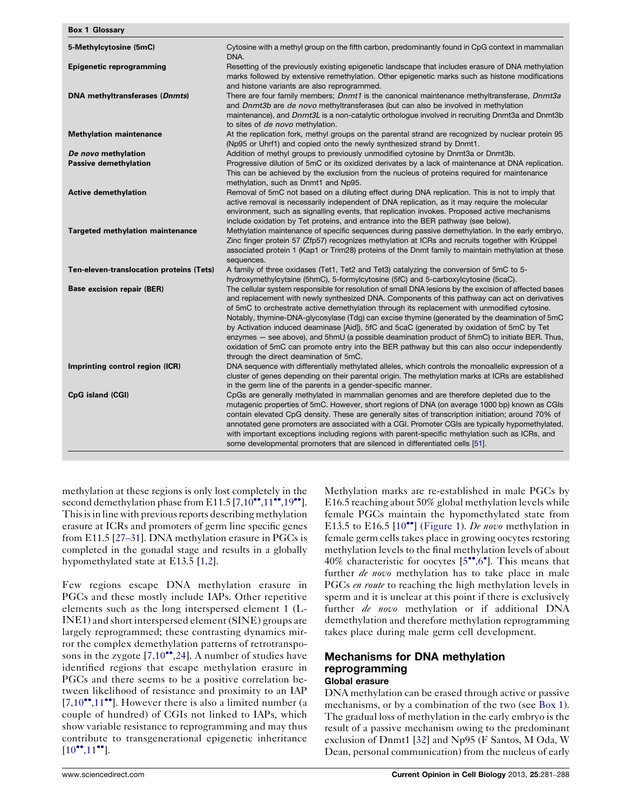<span id="page-2-0"></span>

| <b>Box 1 Glossary</b>                          |                                                                                                                                                                                                                                                                                                                                                                                                                                                                                                                                                                                                                                                                                                                                                     |
|------------------------------------------------|-----------------------------------------------------------------------------------------------------------------------------------------------------------------------------------------------------------------------------------------------------------------------------------------------------------------------------------------------------------------------------------------------------------------------------------------------------------------------------------------------------------------------------------------------------------------------------------------------------------------------------------------------------------------------------------------------------------------------------------------------------|
| 5-Methylcytosine (5mC)                         | Cytosine with a methyl group on the fifth carbon, predominantly found in CpG context in mammalian<br>DNA.                                                                                                                                                                                                                                                                                                                                                                                                                                                                                                                                                                                                                                           |
| Epigenetic reprogramming                       | Resetting of the previously existing epigenetic landscape that includes erasure of DNA methylation<br>marks followed by extensive remethylation. Other epigenetic marks such as histone modifications<br>and histone variants are also reprogrammed.                                                                                                                                                                                                                                                                                                                                                                                                                                                                                                |
| <b>DNA</b> methyltransferases ( <i>Dnmts</i> ) | There are four family members; Dnmt1 is the canonical maintenance methyltransferase, Dnmt3a<br>and Dnmt3b are de novo methyltransferases (but can also be involved in methylation<br>maintenance), and Dnmt3L is a non-catalytic orthologue involved in recruiting Dnmt3a and Dnmt3b<br>to sites of de novo methylation.                                                                                                                                                                                                                                                                                                                                                                                                                            |
| <b>Methylation maintenance</b>                 | At the replication fork, methyl groups on the parental strand are recognized by nuclear protein 95<br>(Np95 or Uhrf1) and copied onto the newly synthesized strand by Dnmt1.                                                                                                                                                                                                                                                                                                                                                                                                                                                                                                                                                                        |
| De novo methylation                            | Addition of methyl groups to previously unmodified cytosine by Dnmt3a or Dnmt3b.                                                                                                                                                                                                                                                                                                                                                                                                                                                                                                                                                                                                                                                                    |
| <b>Passive demethylation</b>                   | Progressive dilution of 5mC or its oxidized derivates by a lack of maintenance at DNA replication.<br>This can be achieved by the exclusion from the nucleus of proteins required for maintenance<br>methylation, such as Dnmt1 and Np95.                                                                                                                                                                                                                                                                                                                                                                                                                                                                                                           |
| <b>Active demethylation</b>                    | Removal of 5mC not based on a diluting effect during DNA replication. This is not to imply that<br>active removal is necessarily independent of DNA replication, as it may require the molecular<br>environment, such as signalling events, that replication invokes. Proposed active mechanisms<br>include oxidation by Tet proteins, and entrance into the BER pathway (see below).                                                                                                                                                                                                                                                                                                                                                               |
| <b>Targeted methylation maintenance</b>        | Methylation maintenance of specific sequences during passive demethylation. In the early embryo,<br>Zinc finger protein 57 (Zfp57) recognizes methylation at ICRs and recruits together with Krüppel<br>associated protein 1 (Kap1 or Trim28) proteins of the Dnmt family to maintain methylation at these<br>sequences.                                                                                                                                                                                                                                                                                                                                                                                                                            |
| Ten-eleven-translocation proteins (Tets)       | A family of three oxidases (Tet1, Tet2 and Tet3) catalyzing the conversion of 5mC to 5-<br>hydroxymethylcytsine (5hmC), 5-formylcytosine (5fC) and 5-carboxylcytosine (5caC).                                                                                                                                                                                                                                                                                                                                                                                                                                                                                                                                                                       |
| <b>Base excision repair (BER)</b>              | The cellular system responsible for resolution of small DNA lesions by the excision of affected bases<br>and replacement with newly synthesized DNA. Components of this pathway can act on derivatives<br>of 5mC to orchestrate active demethylation through its replacement with unmodified cytosine.<br>Notably, thymine-DNA-glycosylase (Tdg) can excise thymine (generated by the deamination of 5mC<br>by Activation induced deaminase [Aid]), 5fC and 5caC (generated by oxidation of 5mC by Tet<br>enzymes - see above), and 5hmU (a possible deamination product of 5hmC) to initiate BER. Thus,<br>oxidation of 5mC can promote entry into the BER pathway but this can also occur independently<br>through the direct deamination of 5mC. |
| Imprinting control region (ICR)                | DNA sequence with differentially methylated alleles, which controls the monoallelic expression of a<br>cluster of genes depending on their parental origin. The methylation marks at ICRs are established<br>in the germ line of the parents in a gender-specific manner.                                                                                                                                                                                                                                                                                                                                                                                                                                                                           |
| CpG island (CGI)                               | CpGs are generally methylated in mammalian genomes and are therefore depleted due to the<br>mutagenic properties of 5mC. However, short regions of DNA (on average 1000 bp) known as CGIs<br>contain elevated CpG density. These are generally sites of transcription initiation; around 70% of<br>annotated gene promoters are associated with a CGI. Promoter CGIs are typically hypomethylated,<br>with important exceptions including regions with parent-specific methylation such as ICRs, and<br>some developmental promoters that are silenced in differentiated cells [51].                                                                                                                                                                |

methylation at these regions is only lost completely in the second demethylation phase from E11.5  $[7,10^{\bullet\bullet},11^{\bullet\bullet},19^{\bullet\bullet}].$  $[7,10^{\bullet\bullet},11^{\bullet\bullet},19^{\bullet\bullet}].$  $[7,10^{\bullet\bullet},11^{\bullet\bullet},19^{\bullet\bullet}].$  $[7,10^{\bullet\bullet},11^{\bullet\bullet},19^{\bullet\bullet}].$  $[7,10^{\bullet\bullet},11^{\bullet\bullet},19^{\bullet\bullet}].$  $[7,10^{\bullet\bullet},11^{\bullet\bullet},19^{\bullet\bullet}].$ This is in line with previous reports describing methylation erasure at ICRs and promoters of germ line specific genes from E11.5 [\[27](#page-6-0)–31]. DNA methylation erasure in PGCs is completed in the gonadal stage and results in a globally hypomethylated state at E13.5 [\[1,2\]](#page-5-0).

Few regions escape DNA methylation erasure in PGCs and these mostly include IAPs. Other repetitive elements such as the long interspersed element 1 (L-INE1) and short interspersed element (SINE) groups are largely reprogrammed; these contrasting dynamics mirror the complex demethylation patterns of retrotranspo-sons in the zygote [\[7,10](#page-6-0)<sup> $\bullet$ </sup>[,24](#page-6-0)]. A number of studies have identified regions that escape methylation erasure in PGCs and there seems to be a positive correlation between likelihood of resistance and proximity to an IAP  $[7,10$ <sup>\*\*</sup>[,11](#page-6-0)<sup>\*\*</sup>]. However there is also a limited number (a couple of hundred) of CGIs not linked to IAPs, which show variable resistance to reprogramming and may thus contribute to transgenerational epigenetic inheritance  $[10^{\bullet\bullet}, 11^{\bullet\bullet}].$  $[10^{\bullet\bullet}, 11^{\bullet\bullet}].$ 

Methylation marks are re-established in male PGCs by E16.5 reaching about 50% global methylation levels while female PGCs maintain the hypomethylated state from E13.5 to E16.5 [\[10](#page-6-0)<sup>\*</sup>] [\(Figure](#page-1-0) 1). De novo methylation in female germ cells takes place in growing oocytes restoring methylation levels to the final methylation levels of about 40% characteristic for oocytes [[5](#page-5-0)"[,6](#page-5-0)"]. This means that further *de novo* methylation has to take place in male PGCs en route to reaching the high methylation levels in sperm and it is unclear at this point if there is exclusively further de novo methylation or if additional DNA demethylation and therefore methylation reprogramming takes place during male germ cell development.

#### Mechanisms for DNA methylation reprogramming Global erasure

DNA methylation can be erased through active or passive mechanisms, or by a combination of the two (see Box 1). The gradual loss of methylation in the early embryo is the result of a passive mechanism owing to the predominant exclusion of Dnmt1 [\[32](#page-6-0)] and Np95 (F Santos, M Oda, W Dean, personal communication) from the nucleus of early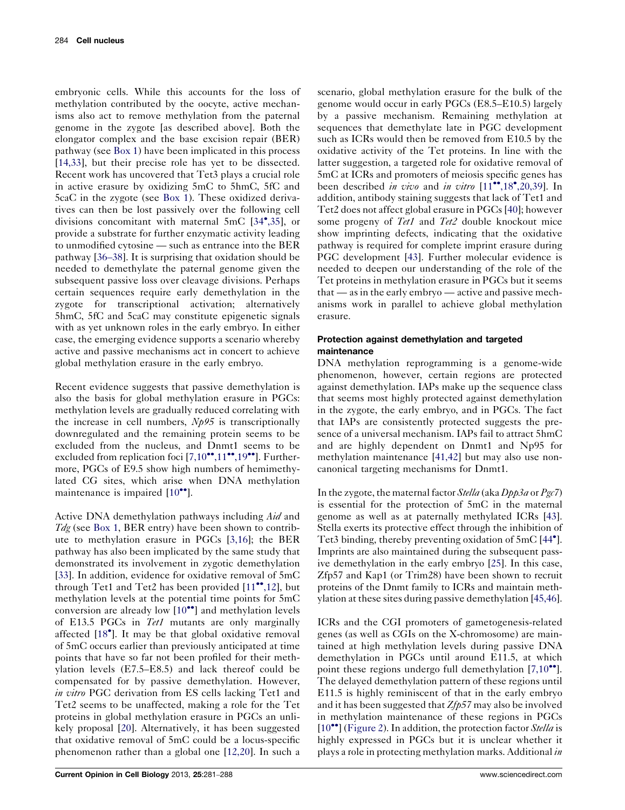embryonic cells. While this accounts for the loss of methylation contributed by the oocyte, active mechanisms also act to remove methylation from the paternal genome in the zygote [as described above]. Both the elongator complex and the base excision repair (BER) pathway (see [Box](#page-2-0) 1) have been implicated in this process [\[14,33\]](#page-6-0), but their precise role has yet to be dissected. Recent work has uncovered that Tet3 plays a crucial role in active erasure by oxidizing 5mC to 5hmC, 5fC and 5caC in the zygote (see [Box](#page-2-0) 1). These oxidized derivatives can then be lost passively over the following cell divisions concomitant with maternal 5mC [[34](#page-6-0)°[,35\]](#page-6-0), or provide a substrate for further enzymatic activity leading to unmodified cytosine — such as entrance into the BER pathway [\[36](#page-6-0)–38]. It is surprising that oxidation should be needed to demethylate the paternal genome given the subsequent passive loss over cleavage divisions. Perhaps certain sequences require early demethylation in the zygote for transcriptional activation; alternatively 5hmC, 5fC and 5caC may constitute epigenetic signals with as yet unknown roles in the early embryo. In either case, the emerging evidence supports a scenario whereby active and passive mechanisms act in concert to achieve global methylation erasure in the early embryo.

Recent evidence suggests that passive demethylation is also the basis for global methylation erasure in PGCs: methylation levels are gradually reduced correlating with the increase in cell numbers,  $Np95$  is transcriptionally downregulated and the remaining protein seems to be excluded from the nucleus, and Dnmt1 seems to be excluded from replication foci [\[7,10](#page-6-0)<sup>\*\*</sup>[,11](#page-6-0)<sup>\*\*</sup>[,19](#page-6-0)<sup>\*\*</sup>]. Furthermore, PGCs of E9.5 show high numbers of hemimethylated CG sites, which arise when DNA methylation maintenance is impaired  $[10^{\bullet\bullet}].$  $[10^{\bullet\bullet}].$  $[10^{\bullet\bullet}].$ 

Active DNA demethylation pathways including Aid and  $Tdg$  (see [Box](#page-2-0) 1, BER entry) have been shown to contribute to methylation erasure in PGCs [[3,16\]](#page-5-0); the BER pathway has also been implicated by the same study that demonstrated its involvement in zygotic demethylation [\[33](#page-6-0)]. In addition, evidence for oxidative removal of 5mC through Tet1 and Tet2 has been provided [\[11](#page-6-0)<sup>oo</sup>[,12\]](#page-6-0), but methylation levels at the potential time points for 5mC conversion are already low [\[10](#page-6-0)<sup>••</sup>] and methylation levels of E13.5 PGCs in *Tet1* mutants are only marginally affected [[18](#page-6-0)<sup>°</sup>]. It may be that global oxidative removal of 5mC occurs earlier than previously anticipated at time points that have so far not been profiled for their methylation levels (E7.5–E8.5) and lack thereof could be compensated for by passive demethylation. However, in vitro PGC derivation from ES cells lacking Tet1 and Tet2 seems to be unaffected, making a role for the Tet proteins in global methylation erasure in PGCs an unlikely proposal [[20\]](#page-6-0). Alternatively, it has been suggested that oxidative removal of 5mC could be a locus-specific phenomenon rather than a global one [[12,20](#page-6-0)]. In such a

scenario, global methylation erasure for the bulk of the genome would occur in early PGCs (E8.5–E10.5) largely by a passive mechanism. Remaining methylation at sequences that demethylate late in PGC development such as ICRs would then be removed from E10.5 by the oxidative activity of the Tet proteins. In line with the latter suggestion, a targeted role for oxidative removal of 5mC at ICRs and promoters of meiosis specific genes has been described in vivo and in vitro  $[11^{\bullet\bullet}, 18^{\bullet}, 20, 39]$  $[11^{\bullet\bullet}, 18^{\bullet}, 20, 39]$ . In addition, antibody staining suggests that lack of Tet1 and Tet2 does not affect global erasure in PGCs [[40\]](#page-7-0); however some progeny of Tet1 and Tet2 double knockout mice show imprinting defects, indicating that the oxidative pathway is required for complete imprint erasure during PGC development [[43\]](#page-7-0). Further molecular evidence is needed to deepen our understanding of the role of the Tet proteins in methylation erasure in PGCs but it seems  $that$  — as in the early embryo — active and passive mechanisms work in parallel to achieve global methylation erasure.

#### Protection against demethylation and targeted maintenance

DNA methylation reprogramming is a genome-wide phenomenon, however, certain regions are protected against demethylation. IAPs make up the sequence class that seems most highly protected against demethylation in the zygote, the early embryo, and in PGCs. The fact that IAPs are consistently protected suggests the presence of a universal mechanism. IAPs fail to attract 5hmC and are highly dependent on Dnmt1 and Np95 for methylation maintenance [[41,42](#page-7-0)] but may also use noncanonical targeting mechanisms for Dnmt1.

In the zygote, the maternal factor Stella (aka  $Dp\beta a$  or  $Pgc7$ ) is essential for the protection of 5mC in the maternal genome as well as at paternally methylated ICRs [[43\]](#page-7-0). Stella exerts its protective effect through the inhibition of Tet3 binding, thereby preventing oxidation of 5mC [\[44](#page-7-0)°]. Imprints are also maintained during the subsequent passive demethylation in the early embryo [\[25](#page-6-0)]. In this case, Zfp57 and Kap1 (or Trim28) have been shown to recruit proteins of the Dnmt family to ICRs and maintain methylation at these sites during passive demethylation [\[45,46\]](#page-7-0).

ICRs and the CGI promoters of gametogenesis-related genes (as well as CGIs on the X-chromosome) are maintained at high methylation levels during passive DNA demethylation in PGCs until around E11.5, at which point these regions undergo full demethylation [[7,10](#page-6-0)<sup>\*</sup>]. The delayed demethylation pattern of these regions until E11.5 is highly reminiscent of that in the early embryo and it has been suggested that Zfp57 may also be involved in methylation maintenance of these regions in PGCs [\[10](#page-6-0)<sup>\*\*</sup>] [\(Figure](#page-4-0) 2). In addition, the protection factor Stella is highly expressed in PGCs but it is unclear whether it plays a role in protecting methylation marks. Additional in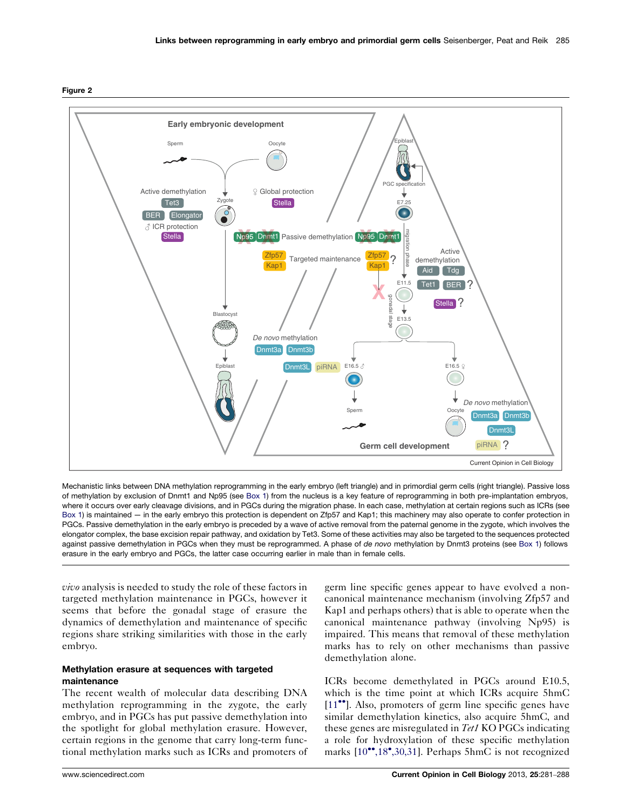

#### <span id="page-4-0"></span>Figure 2

Mechanistic links between DNA methylation reprogramming in the early embryo (left triangle) and in primordial germ cells (right triangle). Passive loss of methylation by exclusion of Dnmt1 and Np95 (see [Box](#page-2-0) 1) from the nucleus is a key feature of reprogramming in both pre-implantation embryos, where it occurs over early cleavage divisions, and in PGCs during the migration phase. In each case, methylation at certain regions such as ICRs (see [Box](#page-2-0) 1) is maintained — in the early embryo this protection is dependent on Zfp57 and Kap1; this machinery may also operate to confer protection in PGCs. Passive demethylation in the early embryo is preceded by a wave of active removal from the paternal genome in the zygote, which involves the elongator complex, the base excision repair pathway, and oxidation by Tet3. Some of these activities may also be targeted to the sequences protected against passive demethylation in PGCs when they must be reprogrammed. A phase of de novo methylation by Dnmt3 proteins (see [Box](#page-2-0) 1) follows erasure in the early embryo and PGCs, the latter case occurring earlier in male than in female cells.

vivo analysis is needed to study the role of these factors in targeted methylation maintenance in PGCs, however it seems that before the gonadal stage of erasure the dynamics of demethylation and maintenance of specific regions share striking similarities with those in the early embryo.

#### Methylation erasure at sequences with targeted maintenance

The recent wealth of molecular data describing DNA methylation reprogramming in the zygote, the early embryo, and in PGCs has put passive demethylation into the spotlight for global methylation erasure. However, certain regions in the genome that carry long-term functional methylation marks such as ICRs and promoters of

germ line specific genes appear to have evolved a noncanonical maintenance mechanism (involving Zfp57 and Kap1 and perhaps others) that is able to operate when the canonical maintenance pathway (involving Np95) is impaired. This means that removal of these methylation marks has to rely on other mechanisms than passive demethylation alone.

ICRs become demethylated in PGCs around E10.5, which is the time point at which ICRs acquire 5hmC [[11](#page-6-0)<sup>••</sup>]. Also, promoters of germ line specific genes have similar demethylation kinetics, also acquire 5hmC, and these genes are misregulated in Tet1 KO PGCs indicating a role for hydroxylation of these specific methylation marks [\[10](#page-6-0)<sup>\*</sup>[,18](#page-6-0)<sup>\*</sup>[,30,31](#page-6-0)]. Perhaps 5hmC is not recognized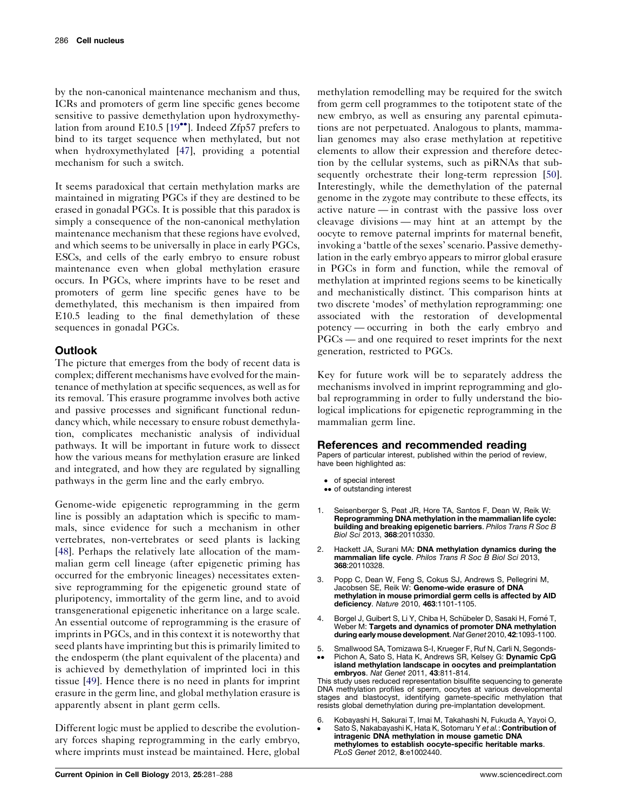<span id="page-5-0"></span>by the non-canonical maintenance mechanism and thus, ICRs and promoters of germ line specific genes become sensitive to passive demethylation upon hydroxymethy-lation from around E10.5 [\[19](#page-6-0)<sup>••</sup>]. Indeed Zfp57 prefers to bind to its target sequence when methylated, but not when hydroxymethylated [\[47](#page-7-0)], providing a potential mechanism for such a switch.

It seems paradoxical that certain methylation marks are maintained in migrating PGCs if they are destined to be erased in gonadal PGCs. It is possible that this paradox is simply a consequence of the non-canonical methylation maintenance mechanism that these regions have evolved, and which seems to be universally in place in early PGCs, ESCs, and cells of the early embryo to ensure robust maintenance even when global methylation erasure occurs. In PGCs, where imprints have to be reset and promoters of germ line specific genes have to be demethylated, this mechanism is then impaired from E10.5 leading to the final demethylation of these sequences in gonadal PGCs.

# **Outlook**

The picture that emerges from the body of recent data is complex; different mechanisms have evolved forthe maintenance of methylation at specific sequences, as well as for its removal. This erasure programme involves both active and passive processes and significant functional redundancy which, while necessary to ensure robust demethylation, complicates mechanistic analysis of individual pathways. It will be important in future work to dissect how the various means for methylation erasure are linked and integrated, and how they are regulated by signalling pathways in the germ line and the early embryo.

Genome-wide epigenetic reprogramming in the germ line is possibly an adaptation which is specific to mammals, since evidence for such a mechanism in other vertebrates, non-vertebrates or seed plants is lacking [\[48](#page-7-0)]. Perhaps the relatively late allocation of the mammalian germ cell lineage (after epigenetic priming has occurred for the embryonic lineages) necessitates extensive reprogramming for the epigenetic ground state of pluripotency, immortality of the germ line, and to avoid transgenerational epigenetic inheritance on a large scale. An essential outcome of reprogramming is the erasure of imprints in PGCs, and in this context it is noteworthy that seed plants have imprinting but this is primarily limited to the endosperm (the plant equivalent of the placenta) and is achieved by demethylation of imprinted loci in this tissue [[49\]](#page-7-0). Hence there is no need in plants for imprint erasure in the germ line, and global methylation erasure is apparently absent in plant germ cells.

Different logic must be applied to describe the evolutionary forces shaping reprogramming in the early embryo, where imprints must instead be maintained. Here, global methylation remodelling may be required for the switch from germ cell programmes to the totipotent state of the new embryo, as well as ensuring any parental epimutations are not perpetuated. Analogous to plants, mammalian genomes may also erase methylation at repetitive elements to allow their expression and therefore detection by the cellular systems, such as piRNAs that sub-sequently orchestrate their long-term repression [[50](#page-7-0)]. Interestingly, while the demethylation of the paternal genome in the zygote may contribute to these effects, its active nature — in contrast with the passive loss over cleavage divisions — may hint at an attempt by the oocyte to remove paternal imprints for maternal benefit, invoking a 'battle of the sexes'scenario. Passive demethylation in the early embryo appears to mirror global erasure in PGCs in form and function, while the removal of methylation at imprinted regions seems to be kinetically and mechanistically distinct. This comparison hints at two discrete 'modes' of methylation reprogramming: one associated with the restoration of developmental potency — occurring in both the early embryo and PGCs — and one required to reset imprints for the next generation, restricted to PGCs.

Key for future work will be to separately address the mechanisms involved in imprint reprogramming and global reprogramming in order to fully understand the biological implications for epigenetic reprogramming in the mammalian germ line.

## References and recommended reading

Papers of particular interest, published within the period of review, have been highlighted as:

- of special interest
- •• of outstanding interest
- Seisenberger S, Peat JR, Hore TA, Santos F, Dean W, Reik W: Reprogramming DNA methylation in the mammalian life cycle: building and breaking epigenetic barriers. Philos Trans R Soc B Biol Sci 2013, 368:20110330.
- 2. Hackett JA, Surani MA: DNA methylation dynamics during the mammalian life cycle. Philos Trans R Soc B Biol Sci 2013, 368:20110328.
- 3. Popp C, Dean W, Feng S, Cokus SJ, Andrews S, Pellegrini M, Jacobsen SE, Reik W: Genome-wide erasure of DNA methylation in mouse primordial germ cells is affected by AID deficiency. Nature 2010, 463:1101-1105.
- 4. Borgel J, Guibert S, Li Y, Chiba H, Schübeler D, Sasaki H, Forné T, Weber M: Targets and dynamics of promoter DNA methylation during early mouse development. Nat Genet 2010, 42:1093-1100.
- 5. Smallwood SA, Tomizawa S-I, Krueger F, Ruf N, Carli N, Segonds-
- --Pichon A, Sato S, Hata K, Andrews SR, Kelsey G: Dynamic CpG island methylation landscape in oocytes and preimplantation embryos. Nat Genet 2011, 43:811-814.

This study uses reduced representation bisulfite sequencing to generate DNA methylation profiles of sperm, oocytes at various developmental stages and blastocyst, identifying gamete-specific methylation that resists global demethylation during pre-implantation development.

6. -Kobayashi H, Sakurai T, Imai M, Takahashi N, Fukuda A, Yayoi O, Sato S, Nakabayashi K, Hata K, Sotomaru Y et al.: Contribution of intragenic DNA methylation in mouse gametic DNA methylomes to establish oocyte-specific heritable marks. PLoS Genet 2012, 8:e1002440.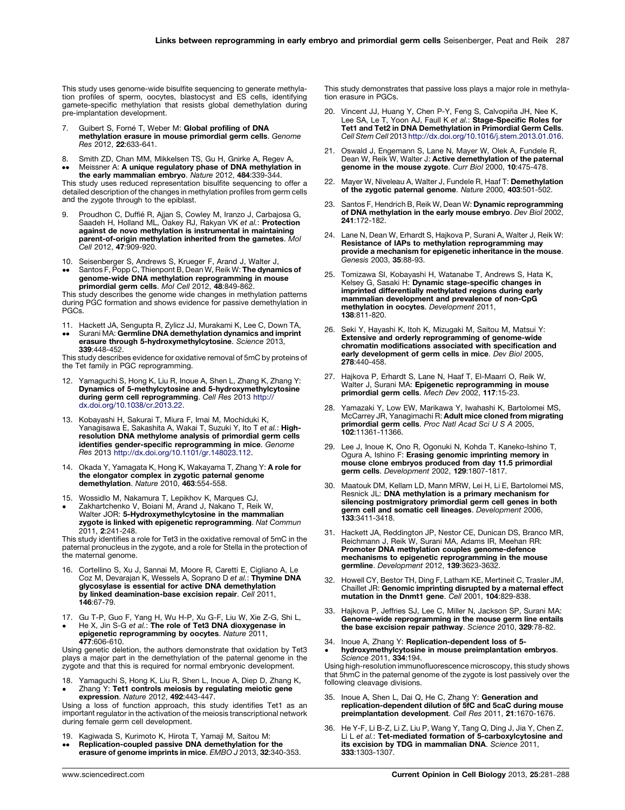<span id="page-6-0"></span>This study uses genome-wide bisulfite sequencing to generate methylation profiles of sperm, oocytes, blastocyst and ES cells, identifying gamete-specific methylation that resists global demethylation during pre-implantation development.

- 7. Guibert S, Forné T, Weber M: Global profiling of DNA methylation erasure in mouse primordial germ cells. Genome Res 2012, 22:633-641.
- 8.  $\bullet$ Smith ZD, Chan MM, Mikkelsen TS, Gu H, Gnirke A, Regev A, Meissner A: A unique regulatory phase of DNA methylation in the early mammalian embryo. Nature 2012, 484:339-344.

This study uses reduced representation bisulfite sequencing to offer a detailed description of the changes in methylation profiles from germ cells and the zygote through to the epiblast.

- 9. Proudhon C, Duffié R, Ajjan S, Cowley M, Iranzo J, Carbajosa G, Saadeh H, Holland ML, Oakey RJ, Rakyan VK e*t al.*: **Protection**<br>a**gainst de novo methylation is instrumental in maintaining** parent-of-origin methylation inherited from the gametes. Mol Cell 2012, 47:909-920.
- 10. Seisenberger S, Andrews S, Krueger F, Arand J, Walter J,
- $\bullet$ -Santos F, Popp C, Thienpont B, Dean W, Reik W: The dynamics of genome-wide DNA methylation reprogramming in mouse primordial germ cells. Mol Cell 2012, 48:849-862.

This study describes the genome wide changes in methylation patterns during PGC formation and shows evidence for passive demethylation in PGCs.

- 11. Hackett JA, Sengupta R, Zylicz JJ, Murakami K, Lee C, Down TA,
- $\bullet$ -Surani MA: Germline DNA demethylation dynamics and imprint erasure through 5-hydroxymethylcytosine. Science 2013, 339:448-452.

This study describes evidence for oxidative removal of 5mC by proteins of the Tet family in PGC reprogramming.

- 12. Yamaguchi S, Hong K, Liu R, Inoue A, Shen L, Zhang K, Zhang Y: Dynamics of 5-methylcytosine and 5-hydroxymethylcytosine during germ cell reprogramming. Cell Res 2013 [http://](http://dx.doi.org/10.1038/cr.2013.22) [dx.doi.org/10.1038/cr.2013.22.](http://dx.doi.org/10.1038/cr.2013.22)
- 13. Kobayashi H, Sakurai T, Miura F, Imai M, Mochiduki K, Yanagisawa E, Sakashita A, Wakai T, Suzuki Y, Ito T et al.: Highresolution DNA methylome analysis of primordial germ cells identifies gender-specific reprogramming in mice. Genome Res 2013 [http://dx.doi.org/10.1101/gr.148023.112.](http://dx.doi.org/10.1101/gr.148023.112)
- 14. Okada Y, Yamagata K, Hong K, Wakayama T, Zhang Y: A role for the elongator complex in zygotic paternal genome demethylation. Nature 2010, 463:554-558.

15. Wossidlo M, Nakamura T, Lepikhov K, Marques CJ,

 $\bullet$ Zakhartchenko V, Boiani M, Arand J, Nakano T, Reik W,<br>Walter JOR: **5-Hydroxymethylcytosine in the mammalian** zygote is linked with epigenetic reprogramming. Nat Commun 2011, 2:241-248.

This study identifies a role for Tet3 in the oxidative removal of 5mC in the paternal pronucleus in the zygote, and a role for Stella in the protection of the maternal genome.

- 16. Cortellino S, Xu J, Sannai M, Moore R, Caretti E, Cigliano A, Le<br>Coz M, Devarajan K, Wessels A, Soprano D et al.: **Thymine DNA** glycosylase is essential for active DNA demethylation by linked deamination-base excision repair. Cell 2011, 146:67-79.
- 17. 17. Gu T-P, Guo F, Yang H, Wu H-P, Xu G-F, Liu W, Xie Z-G, Shi L,<br>● He X, Jin S-G *et al.*: **The role of Tet3 DNA dioxygenase in**
- epigenetic reprogramming by oocytes. Nature 2011, 477:606-610.

Using genetic deletion, the authors demonstrate that oxidation by Tet3 plays a major part in the demethylation of the paternal genome in the zygote and that this is required for normal embryonic development.

18.  $\bullet$ Yamaguchi S, Hong K, Liu R, Shen L, Inoue A, Diep D, Zhang K,<br>Zhang Y: **Tet1 controls meiosis by regulating meiotic gene** expression. Nature 2012, 492:443-447.

Using a loss of function approach, this study identifies Tet1 as an important regulator in the activation of the meiosis transcriptional network during female germ cell development.

- 19. Kagiwada S, Kurimoto K, Hirota T, Yamaji M, Saitou M:
- $\bullet$ -Replication-coupled passive DNA demethylation for the erasure of genome imprints in mice. EMBO J 2013, 32:340-353.

This study demonstrates that passive loss plays a major role in methylation erasure in PGCs.

- 20. Vincent JJ, Huang Y, Chen P-Y, Feng S, Calvopiña JH, Nee K,<br>Lee SA, Le T, Yoon AJ, Faull K et *al*.: **Stage-Specific Roles for** Tet1 and Tet2 in DNA Demethylation in Primordial Germ Cells. Cell Stem Cell 2013 <http://dx.doi.org/10.1016/j.stem.2013.01.016>.
- 21. Oswald J, Engemann S, Lane N, Mayer W, Olek A, Fundele R, Dean W, Reik W, Walter J: Active demethylation of the paternal genome in the mouse zygote. Curr Biol 2000, 10:475-478.
- 22. Mayer W, Niveleau A, Walter J, Fundele R, Haaf T: Demethylation of the zygotic paternal genome. Nature 2000, 403:501-502.
- 23. Santos F, Hendrich B, Reik W, Dean W: Dynamic reprogramming of DNA methylation in the early mouse embryo. Dev Biol 2002, 241:172-182.
- 24. Lane N, Dean W, Erhardt S, Hajkova P, Surani A, Walter J, Reik W: Resistance of IAPs to methylation reprogramming may provide a mechanism for epigenetic inheritance in the mouse. Genesis 2003, 35:88-93.
- 25. Tomizawa SI, Kobayashi H, Watanabe T, Andrews S, Hata K, Kelsey G, Sasaki H: Dynamic stage-specific changes in imprinted differentially methylated regions during early mammalian development and prevalence of non-CpG methylation in oocytes. Development 2011, 138:811-820.
- 26. Seki Y, Hayashi K, Itoh K, Mizugaki M, Saitou M, Matsui Y: Extensive and orderly reprogramming of genome-wide chromatin modifications associated with specification and early development of germ cells in mice. Dev Biol 2005, 278:440-458.
- 27. Hajkova P, Erhardt S, Lane N, Haaf T, El-Maarri O, Reik W, Walter J, Surani MA: Epigenetic reprogramming in mouse primordial germ cells. Mech Dev 2002, 117:15-23.
- Yamazaki Y, Low EW, Marikawa Y, Iwahashi K, Bartolomei MS, McCarrey JR, Yanagimachi R: Adult mice cloned from migrating primordial germ cells. Proc Natl Acad Sci U S A 2005, 102:11361-11366.
- 29. Lee J, Inoue K, Ono R, Ogonuki N, Kohda T, Kaneko-Ishino T, Ogura A, Ishino F: Erasing genomic imprinting memory in mouse clone embryos produced from day 11.5 primordial germ cells. Development 2002, 129:1807-1817.
- 30. Maatouk DM, Kellam LD, Mann MRW, Lei H, Li E, Bartolomei MS, Resnick JL: DNA methylation is a primary mechanism for silencing postmigratory primordial germ cell genes in both germ cell and somatic cell lineages. Development 2006,<br>133:3411-3418.
- 31. Hackett JA, Reddington JP, Nestor CE, Dunican DS, Branco MR, Reichmann J, Reik W, Surani MA, Adams IR, Meehan RR: Promoter DNA methylation couples genome-defence mechanisms to epigenetic reprogramming in the mouse germline. Development 2012, 139:3623-3632.
- 32. Howell CY, Bestor TH, Ding F, Latham KE, Mertineit C, Trasler JM, Chaillet JR: Genomic imprinting disrupted by a maternal effect mutation in the Dnmt1 gene. Cell 2001, 104:829-838.
- 33. Hajkova P, Jeffries SJ, Lee C, Miller N, Jackson SP, Surani MA: Genome-wide reprogramming in the mouse germ line entails the base excision repair pathway. Science 2010, 329:78-82.
- 34. -Inoue A, Zhang Y: Replication-dependent loss of 5 hydroxymethylcytosine in mouse preimplantation embryos. Science 2011, 334:194.

Using high-resolution immunofluorescence microscopy, this study shows that 5hmC in the paternal genome of the zygote is lost passively over the following cleavage divisions.

- 35. Inoue A, Shen L, Dai Q, He C, Zhang Y: Generation and replication-dependent dilution of 5fC and 5caC during mouse preimplantation development. Cell Res 2011, 21:1670-1676.
- 36. He Y-F, Li B-Z, Li Z, Liu P, Wang Y, Tang Q, Ding J, Jia Y, Chen Z, Li L et al.: Tet-mediated formation of 5-carboxylcytosine and its excision by TDG in mammalian DNA. Science 2011, 333:1303-1307.